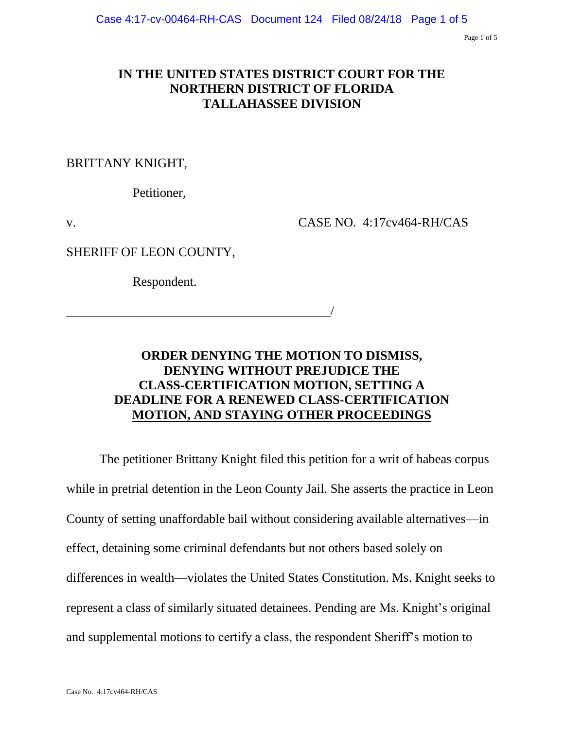Page 1 of 5

## **IN THE UNITED STATES DISTRICT COURT FOR THE NORTHERN DISTRICT OF FLORIDA TALLAHASSEE DIVISION**

BRITTANY KNIGHT,

Petitioner,

v. CASE NO. 4:17cv464-RH/CAS

SHERIFF OF LEON COUNTY,

Respondent.

\_\_\_\_\_\_\_\_\_\_\_\_\_\_\_\_\_\_\_\_\_\_\_\_\_\_\_\_\_\_\_\_\_\_\_\_\_\_\_\_\_/

# **ORDER DENYING THE MOTION TO DISMISS, DENYING WITHOUT PREJUDICE THE CLASS-CERTIFICATION MOTION, SETTING A DEADLINE FOR A RENEWED CLASS-CERTIFICATION MOTION, AND STAYING OTHER PROCEEDINGS**

The petitioner Brittany Knight filed this petition for a writ of habeas corpus while in pretrial detention in the Leon County Jail. She asserts the practice in Leon County of setting unaffordable bail without considering available alternatives—in effect, detaining some criminal defendants but not others based solely on differences in wealth—violates the United States Constitution. Ms. Knight seeks to represent a class of similarly situated detainees. Pending are Ms. Knight's original and supplemental motions to certify a class, the respondent Sheriff's motion to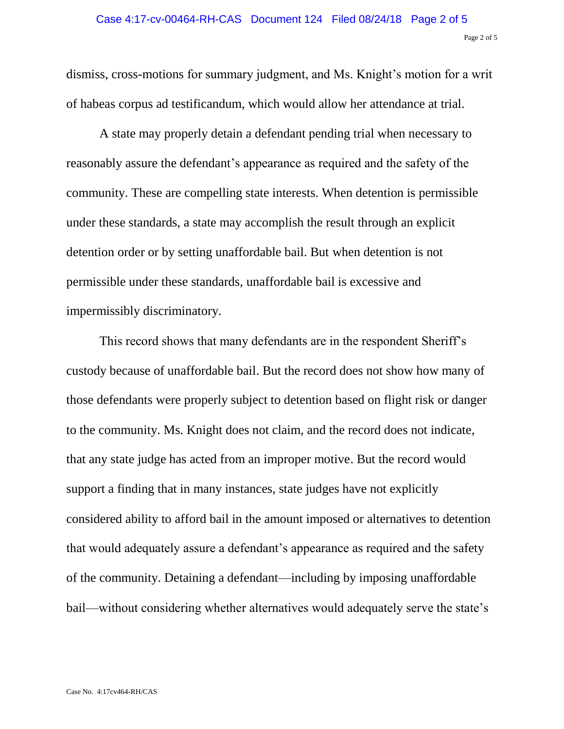dismiss, cross-motions for summary judgment, and Ms. Knight's motion for a writ of habeas corpus ad testificandum, which would allow her attendance at trial.

A state may properly detain a defendant pending trial when necessary to reasonably assure the defendant's appearance as required and the safety of the community. These are compelling state interests. When detention is permissible under these standards, a state may accomplish the result through an explicit detention order or by setting unaffordable bail. But when detention is not permissible under these standards, unaffordable bail is excessive and impermissibly discriminatory.

This record shows that many defendants are in the respondent Sheriff's custody because of unaffordable bail. But the record does not show how many of those defendants were properly subject to detention based on flight risk or danger to the community. Ms. Knight does not claim, and the record does not indicate, that any state judge has acted from an improper motive. But the record would support a finding that in many instances, state judges have not explicitly considered ability to afford bail in the amount imposed or alternatives to detention that would adequately assure a defendant's appearance as required and the safety of the community. Detaining a defendant—including by imposing unaffordable bail—without considering whether alternatives would adequately serve the state's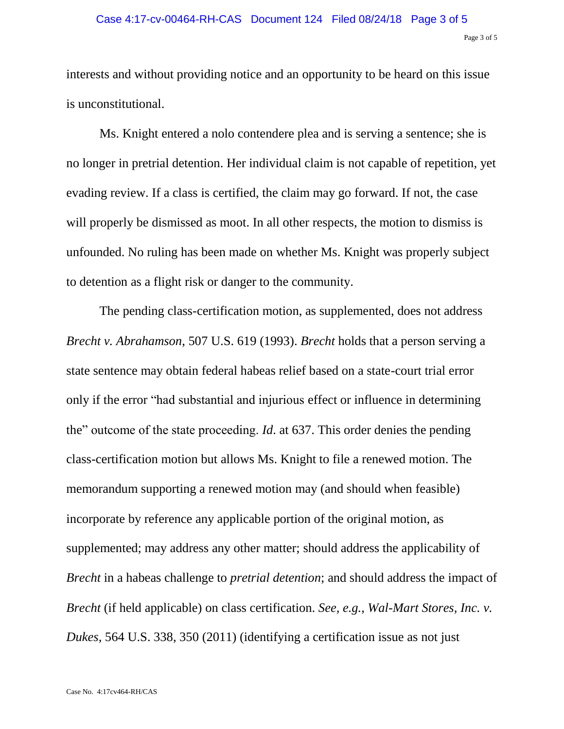### Case 4:17-cv-00464-RH-CAS Document 124 Filed 08/24/18 Page 3 of 5

#### Page 3 of 5

interests and without providing notice and an opportunity to be heard on this issue is unconstitutional.

Ms. Knight entered a nolo contendere plea and is serving a sentence; she is no longer in pretrial detention. Her individual claim is not capable of repetition, yet evading review. If a class is certified, the claim may go forward. If not, the case will properly be dismissed as moot. In all other respects, the motion to dismiss is unfounded. No ruling has been made on whether Ms. Knight was properly subject to detention as a flight risk or danger to the community.

The pending class-certification motion, as supplemented, does not address *Brecht v. Abrahamson*, 507 U.S. 619 (1993). *Brecht* holds that a person serving a state sentence may obtain federal habeas relief based on a state-court trial error only if the error "had substantial and injurious effect or influence in determining the" outcome of the state proceeding. *Id*. at 637. This order denies the pending class-certification motion but allows Ms. Knight to file a renewed motion. The memorandum supporting a renewed motion may (and should when feasible) incorporate by reference any applicable portion of the original motion, as supplemented; may address any other matter; should address the applicability of *Brecht* in a habeas challenge to *pretrial detention*; and should address the impact of *Brecht* (if held applicable) on class certification. *See, e.g.*, *Wal-Mart Stores, Inc. v. Dukes*, 564 U.S. 338, 350 (2011) (identifying a certification issue as not just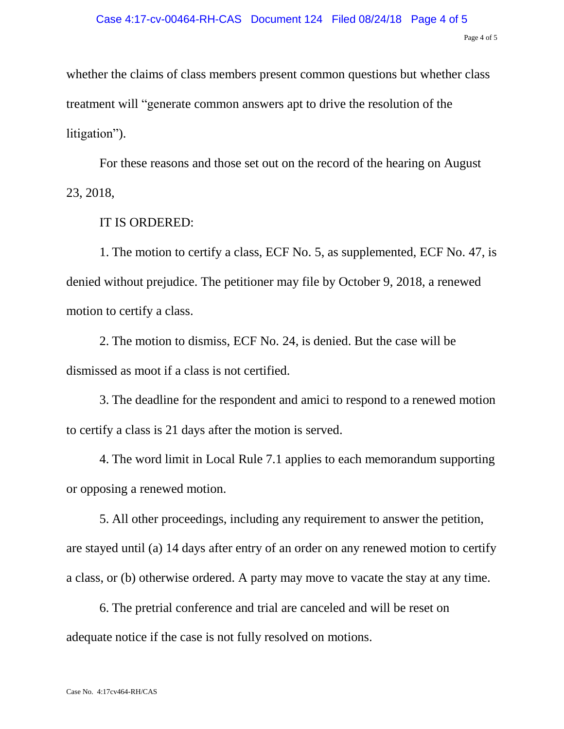#### Page 4 of 5

whether the claims of class members present common questions but whether class treatment will "generate common answers apt to drive the resolution of the litigation").

For these reasons and those set out on the record of the hearing on August 23, 2018,

### IT IS ORDERED:

1. The motion to certify a class, ECF No. 5, as supplemented, ECF No. 47, is denied without prejudice. The petitioner may file by October 9, 2018, a renewed motion to certify a class.

2. The motion to dismiss, ECF No. 24, is denied. But the case will be dismissed as moot if a class is not certified.

3. The deadline for the respondent and amici to respond to a renewed motion to certify a class is 21 days after the motion is served.

4. The word limit in Local Rule 7.1 applies to each memorandum supporting or opposing a renewed motion.

5. All other proceedings, including any requirement to answer the petition, are stayed until (a) 14 days after entry of an order on any renewed motion to certify a class, or (b) otherwise ordered. A party may move to vacate the stay at any time.

6. The pretrial conference and trial are canceled and will be reset on adequate notice if the case is not fully resolved on motions.